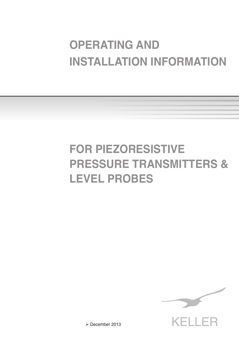# **OPERATING AND INSTALLATION INFORMATION**

# **FOR PIEZORESISTIVE PRESSURE TRANSMITTERS & LEVEL PROBES**



December 2013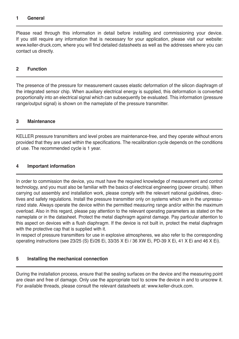#### **1 General**

Please read through this information in detail before installing and commissioning your device. If you still require any information that is necessary for your application, please visit our website: www.keller-druck.com, where you will find detailed datasheets as well as the addresses where you can contact us directly.

## **2 Function**

The presence of the pressure for measurement causes elastic deformation of the silicon diaphragm of the integrated sensor chip. When auxiliary electrical energy is supplied, this deformation is converted proportionally into an electrical signal which can subsequently be evaluated. This information (pressure range/output signal) is shown on the nameplate of the pressure transmitter.

## **3 Maintenance**

KELLER pressure transmitters and level probes are maintenance-free, and they operate without errors provided that they are used within the specifications. The recalibration cycle depends on the conditions of use. The recommended cycle is 1 year.

#### **4 Important information**

In order to commission the device, you must have the required knowledge of measurement and control technology, and you must also be familiar with the basics of electrical engineering (power circuits). When carrying out assembly and installation work, please comply with the relevant national guidelines, directives and safety regulations. Install the pressure transmitter only on systems which are in the unpressurized state. Always operate the device within the permitted measuring range and/or within the maximum overload. Also in this regard, please pay attention to the relevant operating parameters as stated on the nameplate or in the datasheet. Protect the metal diaphragm against damage. Pay particular attention to this aspect on devices with a flush diaphragm. If the device is not built in, protect the metal diaphragm with the protective cap that is supplied with it.

In respect of pressure transmitters for use in explosive atmospheres, we also refer to the corresponding operating instructions (see 23/25 (S) Ei/26 Ei, 33/35 X Ei / 36 XW Ei, PD-39 X Ei, 41 X Ei and 46 X Ei).

#### **5 Installing the mechanical connection**

During the installation process, ensure that the sealing surfaces on the device and the measuring point are clean and free of damage. Only use the appropriate tool to screw the device in and to unscrew it. For available threads, please consult the relevant datasheets at: www.keller-druck.com.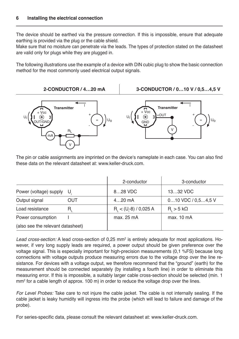The device should be earthed via the pressure connection. If this is impossible, ensure that adequate earthing is provided via the plug or the cable shield.

Make sure that no moisture can penetrate via the leads. The types of protection stated on the datasheet are valid only for plugs while they are plugged in.

The following illustrations use the example of a device with DIN cubic plug to show the basic connection method for the most commonly used electrical output signals.



The pin or cable assignments are imprinted on the device's nameplate in each case. You can also find these data on the relevant datasheet at: www.keller-druck.com.

|                                   |     | 2-conductor               | 3-conductor                |
|-----------------------------------|-----|---------------------------|----------------------------|
| Power (voltage) supply U.         |     | 828 VDC                   | 1332 VDC                   |
| Output signal                     | OUT | $420$ mA                  | $010$ VDC $/0.54.5$ V      |
| Load resistance                   |     | $R_i < (U - 8) / 0.025 A$ | $R_{\rm c}$ > 5 k $\Omega$ |
| Power consumption                 |     | max. 25 mA                | max. 10 mA                 |
| (also see the relevant datasheet) |     |                           |                            |

Le*ad cross-section:* A lead cross-section of 0,25 mm<sup>2</sup> is entirely adequate for most applications. However, if very long supply leads are required, a power output should be given preference over the voltage signal. This is especially important for high-precision measurements (0,1 %FS) because long connections with voltage outputs produce measuring errors due to the voltage drop over the line resistance. For devices with a voltage output, we therefore recommend that the "ground" (earth) for the measurement should be connected separately (by installing a fourth line) in order to eliminate this measuring error. If this is impossible, a suitably larger cable cross-section should be selected (min. 1  $\mathsf{mm}^2$  for a cable length of approx. 100 m) in order to reduce the voltage drop over the lines.

*For Level Probes:* Take care to not injure the cable jacket. The cable is not internally sealing. If the cable jacket is leaky humidity will ingress into the probe (which will lead to failure and damage of the probe).

For series-specific data, please consult the relevant datasheet at: www.keller-druck.com.